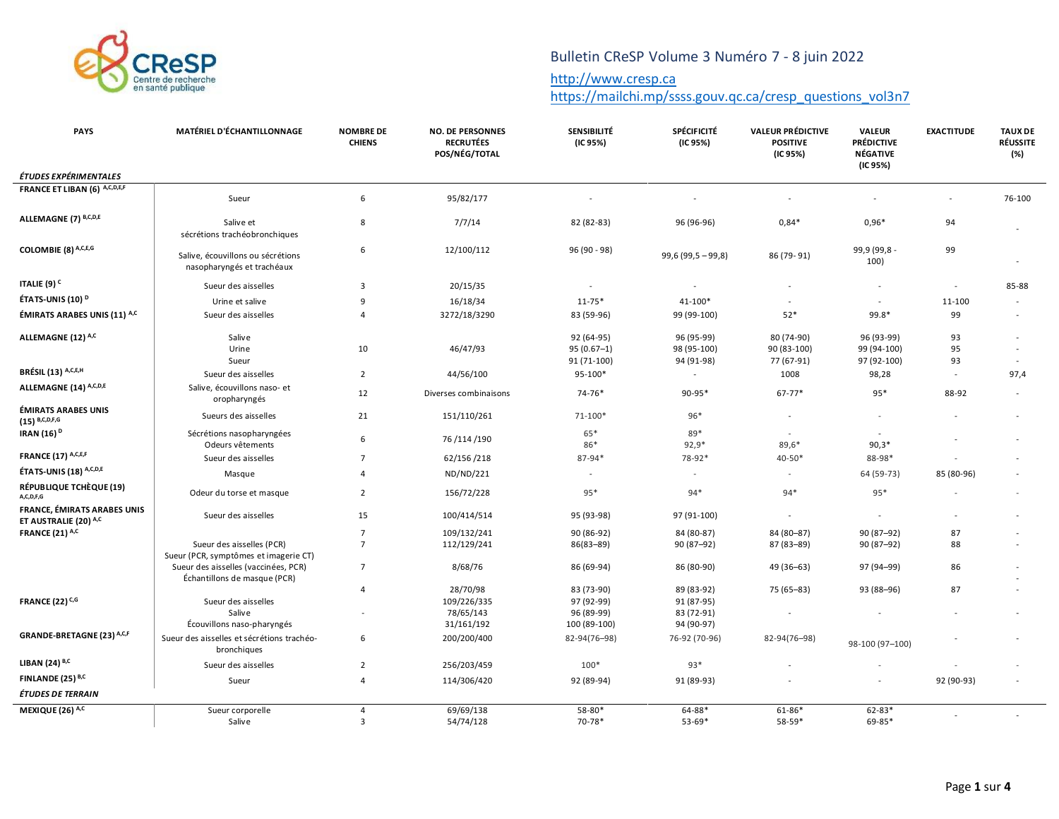

# Bulletin CReSP Volume 3 Numéro 7 - 8 juin 2022

#### [http://www.cresp.ca](http://www.cresp.ca/)

[https://mailchi.mp/ssss.gouv.qc.ca/cresp\\_questions\\_vol3n7](https://mailchi.mp/ssss.gouv.qc.ca/cresp_questions_vol3n7)

| <b>PAYS</b>                                          | MATÉRIEL D'ÉCHANTILLONNAGE                                                              | <b>NOMBRE DE</b><br><b>CHIENS</b> | <b>NO. DE PERSONNES</b><br><b>RECRUTÉES</b><br>POS/NÉG/TOTAL | <b>SENSIBILITÉ</b><br>(IC 95%)            | <b>SPÉCIFICITÉ</b><br>(IC 95%)          | <b>VALEUR PRÉDICTIVE</b><br><b>POSITIVE</b><br>(IC 95%) | VALEUR<br><b>PRÉDICTIVE</b><br><b>NÉGATIVE</b><br>(IC 95%) | <b>EXACTITUDE</b> | <b>TAUX DE</b><br><b>RÉUSSITE</b><br>(%) |
|------------------------------------------------------|-----------------------------------------------------------------------------------------|-----------------------------------|--------------------------------------------------------------|-------------------------------------------|-----------------------------------------|---------------------------------------------------------|------------------------------------------------------------|-------------------|------------------------------------------|
| ÉTUDES EXPÉRIMENTALES                                |                                                                                         |                                   |                                                              |                                           |                                         |                                                         |                                                            |                   |                                          |
| FRANCE ET LIBAN (6) A,C,D,E,F                        | Sueur                                                                                   | 6                                 | 95/82/177                                                    |                                           |                                         | $\overline{a}$                                          |                                                            |                   | 76-100                                   |
| ALLEMAGNE (7) B,C,D,E                                | Salive et<br>sécrétions trachéobronchiques                                              | 8                                 | 7/7/14                                                       | 82 (82-83)                                | 96 (96-96)                              | $0,84*$                                                 | $0.96*$                                                    | 94                |                                          |
| COLOMBIE (8) A,C,E,G                                 | Salive, écouvillons ou sécrétions<br>nasopharyngés et trachéaux                         | 6                                 | 12/100/112                                                   | 96 (90 - 98)                              | $99,6(99,5-99,8)$                       | 86 (79-91)                                              | 99,9 (99,8 -<br>100)                                       | 99                |                                          |
| ITALIE (9) <sup>C</sup>                              | Sueur des aisselles                                                                     | 3                                 | 20/15/35                                                     |                                           |                                         |                                                         | $\sim$                                                     | $\overline{a}$    | 85-88                                    |
| ÉTATS-UNIS (10) <sup>D</sup>                         | Urine et salive                                                                         | 9                                 | 16/18/34                                                     | $11 - 75*$                                | 41-100*                                 |                                                         | $\overline{a}$                                             | 11-100            |                                          |
| ÉMIRATS ARABES UNIS (11) A,C                         | Sueur des aisselles                                                                     | 4                                 | 3272/18/3290                                                 | 83 (59-96)                                | 99 (99-100)                             | $52*$                                                   | 99.8*                                                      | 99                |                                          |
| ALLEMAGNE (12) A,C                                   | Salive<br>Urine<br>Sueur                                                                | 10                                | 46/47/93                                                     | 92 (64-95)<br>$95(0.67-1)$<br>91 (71-100) | 96 (95-99)<br>98 (95-100)<br>94 (91-98) | 80 (74-90)<br>90 (83-100)<br>77 (67-91)                 | 96 (93-99)<br>99 (94-100)<br>97 (92-100)                   | 93<br>95<br>93    | $\overline{\phantom{a}}$                 |
| BRÉSIL (13) A,C,E,H                                  | Sueur des aisselles                                                                     | $\overline{2}$                    | 44/56/100                                                    | 95-100*                                   | $\sim$                                  | 1008                                                    | 98,28                                                      | $\sim$            | 97,4                                     |
| ALLEMAGNE (14) A,C,D,E                               | Salive, écouvillons naso- et<br>oropharyngés                                            | 12                                | Diverses combinaisons                                        | $74 - 76*$                                | $90 - 95*$                              | $67 - 77*$                                              | $95*$                                                      | 88-92             |                                          |
| <b>ÉMIRATS ARABES UNIS</b><br>$(15)$ B,C,D,F,G       | Sueurs des aisselles                                                                    | 21                                | 151/110/261                                                  | $71 - 100*$                               | 96*                                     |                                                         |                                                            |                   |                                          |
| IRAN (16) <sup>D</sup>                               | Sécrétions nasopharyngées<br>Odeurs vêtements                                           | 6                                 | 76 /114 /190                                                 | 65*<br>86*                                | 89*<br>$92,9*$                          | ٠<br>$89,6*$                                            | $90,3*$                                                    |                   |                                          |
| <b>FRANCE (17) A,C,E,F</b>                           | Sueur des aisselles                                                                     | $\overline{7}$                    | 62/156/218                                                   | $87 - 94*$                                | 78-92*                                  | 40-50*                                                  | 88-98*                                                     |                   |                                          |
| ÉTATS-UNIS (18) A,C,D,E                              | Masque                                                                                  | 4                                 | ND/ND/221                                                    |                                           | $\sim$                                  | $\overline{\phantom{a}}$                                | 64 (59-73)                                                 | 85 (80-96)        |                                          |
| RÉPUBLIQUE TCHÈQUE (19)<br>A,C,D,F,G                 | Odeur du torse et masque                                                                | $\overline{2}$                    | 156/72/228                                                   | $95*$                                     | $94*$                                   | $94*$                                                   | $95*$                                                      |                   |                                          |
| FRANCE, ÉMIRATS ARABES UNIS<br>ET AUSTRALIE (20) A,C | Sueur des aisselles                                                                     | 15                                | 100/414/514                                                  | 95 (93-98)                                | 97 (91-100)                             | $\overline{\phantom{a}}$                                | $\overline{\phantom{a}}$                                   |                   |                                          |
| <b>FRANCE (21) A,C</b>                               |                                                                                         | $\overline{7}$<br>$\overline{7}$  | 109/132/241                                                  | 90 (86-92)                                | 84 (80-87)                              | 84 (80-87)                                              | 90 (87-92)                                                 | 87<br>88          |                                          |
|                                                      | Sueur des aisselles (PCR)<br>Sueur (PCR, symptômes et imagerie CT)                      |                                   | 112/129/241                                                  | 86(83-89)                                 | 90 (87-92)                              | 87 (83-89)                                              | 90 (87-92)                                                 |                   |                                          |
|                                                      | Sueur des aisselles (vaccinées, PCR)<br>Échantillons de masque (PCR)                    | $\overline{7}$                    | 8/68/76                                                      | 86 (69-94)                                | 86 (80-90)                              | 49 (36-63)                                              | 97 (94-99)                                                 | 86                |                                          |
| <b>FRANCE (22) C,G</b>                               | Sueur des aisselles                                                                     | $\overline{4}$                    | 28/70/98<br>109/226/335                                      | 83 (73-90)<br>97 (92-99)                  | 89 (83-92)<br>91 (87-95)                | 75 (65-83)                                              | 93 (88-96)                                                 | 87                |                                          |
|                                                      | Salive                                                                                  |                                   | 78/65/143                                                    | 96 (89-99)                                | 83 (72-91)                              |                                                         |                                                            |                   |                                          |
| GRANDE-BRETAGNE (23) A,C,F                           | Écouvillons naso-pharyngés<br>Sueur des aisselles et sécrétions trachéo-<br>bronchiques | 6                                 | 31/161/192<br>200/200/400                                    | 100 (89-100)<br>82-94(76-98)              | 94 (90-97)<br>76-92 (70-96)             | 82-94(76-98)                                            | 98-100 (97-100)                                            |                   |                                          |
| LIBAN (24) B,C                                       | Sueur des aisselles                                                                     | $\overline{2}$                    | 256/203/459                                                  | $100*$                                    | $93*$                                   |                                                         |                                                            |                   |                                          |
| FINLANDE (25) B,C                                    | Sueur                                                                                   | 4                                 | 114/306/420                                                  | 92 (89-94)                                | 91 (89-93)                              |                                                         |                                                            | 92 (90-93)        |                                          |
| ÉTUDES DE TERRAIN                                    |                                                                                         |                                   |                                                              |                                           |                                         |                                                         |                                                            |                   |                                          |
| MEXIQUE (26) A,C                                     | Sueur corporelle<br>Salive                                                              | 4<br>$\overline{3}$               | 69/69/138<br>54/74/128                                       | $58 - 80*$<br>$70 - 78*$                  | $64 - 88*$<br>$53 - 69*$                | $61 - 86*$<br>58-59*                                    | $62 - 83*$<br>69-85*                                       |                   |                                          |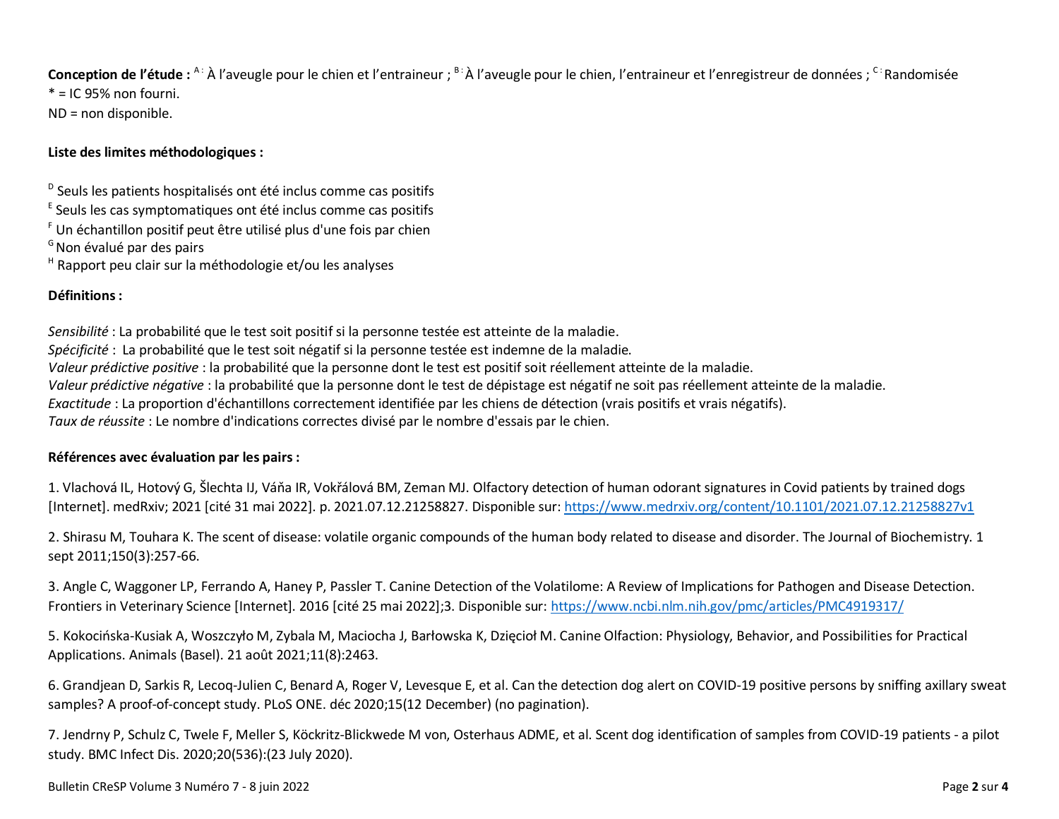Conception de l'étude : <sup>A :</sup> À l'aveugle pour le chien et l'entraineur ; <sup>B :</sup> À l'aveugle pour le chien, l'entraineur et l'enregistreur de données ; <sup>C :</sup> Randomisée  $* = 1095\%$  non fourni.

ND = non disponible.

## **Liste des limites méthodologiques :**

<sup>D</sup> Seuls les patients hospitalisés ont été inclus comme cas positifs

<sup>E</sup> Seuls les cas symptomatiques ont été inclus comme cas positifs

- <sup>F</sup> Un échantillon positif peut être utilisé plus d'une fois par chien
- <sup>G</sup>Non évalué par des pairs

<sup>H</sup> Rapport peu clair sur la méthodologie et/ou les analyses

### **Définitions :**

*Sensibilité* : La probabilité que le test soit positif si la personne testée est atteinte de la maladie. *Spécificité* : La probabilité que le test soit négatif si la personne testée est indemne de la maladie. *Valeur prédictive positive* : la probabilité que la personne dont le test est positif soit réellement atteinte de la maladie. *Valeur prédictive négative* : la probabilité que la personne dont le test de dépistage est négatif ne soit pas réellement atteinte de la maladie. *Exactitude* : La proportion d'échantillons correctement identifiée par les chiens de détection (vrais positifs et vrais négatifs). *Taux de réussite* : Le nombre d'indications correctes divisé par le nombre d'essais par le chien.

### **Références avec évaluation par les pairs:**

1. Vlachová IL, Hotový G, Šlechta IJ, Váňa IR, Vokřálová BM, Zeman MJ. Olfactory detection of human odorant signatures in Covid patients by trained dogs [Internet]. medRxiv; 2021 [cité 31 mai 2022]. p. 2021.07.12.21258827. Disponible sur[: https://www.medrxiv.org/content/10.1101/2021.07.12.21258827v1](https://www.medrxiv.org/content/10.1101/2021.07.12.21258827v1)

2. Shirasu M, Touhara K. The scent of disease: volatile organic compounds of the human body related to disease and disorder. The Journal of Biochemistry. 1 sept 2011;150(3):257-66.

3. Angle C, Waggoner LP, Ferrando A, Haney P, Passler T. Canine Detection of the Volatilome: A Review of Implications for Pathogen and Disease Detection. Frontiers in Veterinary Science [Internet]. 2016 [cité 25 mai 2022];3. Disponible sur:<https://www.ncbi.nlm.nih.gov/pmc/articles/PMC4919317/>

5. Kokocińska-Kusiak A, Woszczyło M, Zybala M, Maciocha J, Barłowska K, Dzięcioł M. Canine Olfaction: Physiology, Behavior, and Possibilities for Practical Applications. Animals (Basel). 21 août 2021;11(8):2463.

6. Grandjean D, Sarkis R, Lecoq-Julien C, Benard A, Roger V, Levesque E, et al. Can the detection dog alert on COVID-19 positive persons by sniffing axillary sweat samples? A proof-of-concept study. PLoS ONE. déc 2020;15(12 December) (no pagination).

7. Jendrny P, Schulz C, Twele F, Meller S, Köckritz-Blickwede M von, Osterhaus ADME, et al. Scent dog identification of samples from COVID-19 patients - a pilot study. BMC Infect Dis. 2020;20(536):(23 July 2020).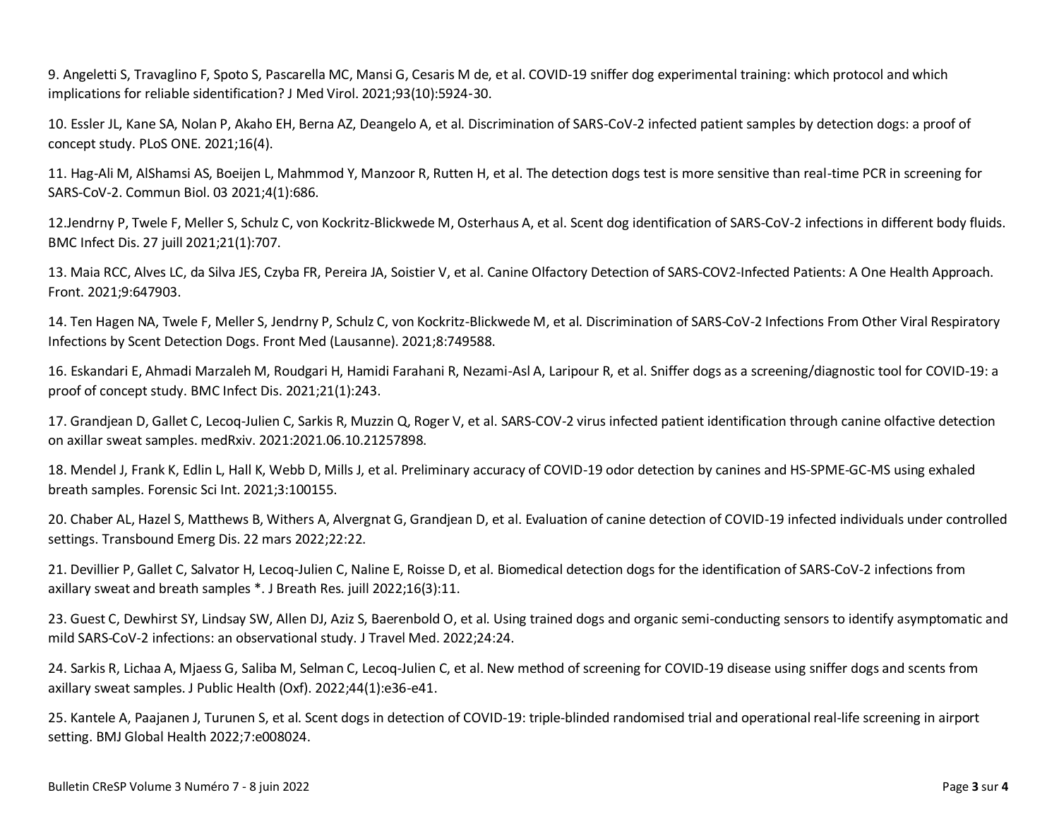9. Angeletti S, Travaglino F, Spoto S, Pascarella MC, Mansi G, Cesaris M de, et al. COVID-19 sniffer dog experimental training: which protocol and which implications for reliable sidentification? J Med Virol. 2021;93(10):5924‑30.

10. Essler JL, Kane SA, Nolan P, Akaho EH, Berna AZ, Deangelo A, et al. Discrimination of SARS-CoV-2 infected patient samples by detection dogs: a proof of concept study. PLoS ONE. 2021;16(4).

11. Hag-Ali M, AlShamsi AS, Boeijen L, Mahmmod Y, Manzoor R, Rutten H, et al. The detection dogs test is more sensitive than real-time PCR in screening for SARS-CoV-2. Commun Biol. 03 2021;4(1):686.

12.Jendrny P, Twele F, Meller S, Schulz C, von Kockritz-Blickwede M, Osterhaus A, et al. Scent dog identification of SARS-CoV-2 infections in different body fluids. BMC Infect Dis. 27 juill 2021;21(1):707.

13. Maia RCC, Alves LC, da Silva JES, Czyba FR, Pereira JA, Soistier V, et al. Canine Olfactory Detection of SARS-COV2-Infected Patients: A One Health Approach. Front. 2021;9:647903.

14. Ten Hagen NA, Twele F, Meller S, Jendrny P, Schulz C, von Kockritz-Blickwede M, et al. Discrimination of SARS-CoV-2 Infections From Other Viral Respiratory Infections by Scent Detection Dogs. Front Med (Lausanne). 2021;8:749588.

16. Eskandari E, Ahmadi Marzaleh M, Roudgari H, Hamidi Farahani R, Nezami-Asl A, Laripour R, et al. Sniffer dogs as a screening/diagnostic tool for COVID-19: a proof of concept study. BMC Infect Dis. 2021;21(1):243.

17. Grandjean D, Gallet C, Lecoq-Julien C, Sarkis R, Muzzin Q, Roger V, et al. SARS-COV-2 virus infected patient identification through canine olfactive detection on axillar sweat samples. medRxiv. 2021:2021.06.10.21257898.

18. Mendel J, Frank K, Edlin L, Hall K, Webb D, Mills J, et al. Preliminary accuracy of COVID-19 odor detection by canines and HS-SPME-GC-MS using exhaled breath samples. Forensic Sci Int. 2021;3:100155.

20. Chaber AL, Hazel S, Matthews B, Withers A, Alvergnat G, Grandjean D, et al. Evaluation of canine detection of COVID-19 infected individuals under controlled settings. Transbound Emerg Dis. 22 mars 2022;22:22.

21. Devillier P, Gallet C, Salvator H, Lecoq-Julien C, Naline E, Roisse D, et al. Biomedical detection dogs for the identification of SARS-CoV-2 infections from axillary sweat and breath samples \*. J Breath Res. juill 2022;16(3):11.

23. Guest C, Dewhirst SY, Lindsay SW, Allen DJ, Aziz S, Baerenbold O, et al. Using trained dogs and organic semi-conducting sensors to identify asymptomatic and mild SARS-CoV-2 infections: an observational study. J Travel Med. 2022;24:24.

24. Sarkis R, Lichaa A, Mjaess G, Saliba M, Selman C, Lecoq-Julien C, et al. New method of screening for COVID-19 disease using sniffer dogs and scents from axillary sweat samples. J Public Health (Oxf). 2022;44(1):e36-e41.

25. Kantele A, Paajanen J, Turunen S, et al. Scent dogs in detection of COVID-19: triple-blinded randomised trial and operational real-life screening in airport setting. BMJ Global Health 2022;7:e008024.